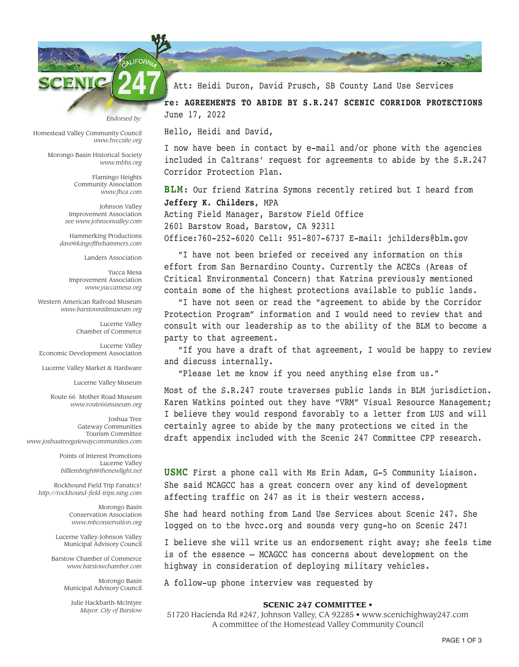

*Endorsed by:*

Homestead Valley Community Council *www.hvccsite.org*

> Morongo Basin Historical Society *www.mbhs.org*

> > Flamingo Heights Community Association *www.fhca.com*

Johnson Valley Improvement Association *see www.johnsonvalley.com*

Hammerking Productions *dave@kingofthehammers.com*

Landers Association

Yucca Mesa Improvement Association *www.yuccamesa.org*

Western American Railroad Museum *www.barstowrailmuseum.org*

> Lucerne Valley Chamber of Commerce

Lucerne Valley Economic Development Association

Lucerne Valley Market & Hardware

Lucerne Valley Museum

Route 66 Mother Road Museum *www.route66museum.org*

Joshua Tree Gateway Communities Tourism Committee *www.joshuatreegatewaycommunities.com*

> Points of Interest Promotions Lucerne Valley *billlembright@thenewlight.net*

Rockhound Field Trip Fanatics!  *http://rockhound-field-trips.ning.com*

> Morongo Basin Conservation Association *www.mbconservation.org*

Lucerne Valley-Johnson Valley Municipal Advisory Council

Barstow Chamber of Commerce *www.barstowchamber.com*

> Morongo Basin Municipal Advisory Council

Julie Hackbarth-McIntyre *Mayor. City of Barstow* Att: Heidi Duron, David Prusch, SB County Land Use Services

**re: AGREEMENTS TO ABIDE BY S.R.247 SCENIC CORRIDOR PROTECTIONS** June 17, 2022

Hello, Heidi and David,

I now have been in contact by e-mail and/or phone with the agencies included in Caltrans' request for agreements to abide by the S.R.247 Corridor Protection Plan.

**BLM**: Our friend Katrina Symons recently retired but I heard from **Jeffery K. Childers**, MPA

Acting Field Manager, Barstow Field Office 2601 Barstow Road, Barstow, CA 92311 Office:760-252-6020 Cell: 951-807-6737 E-mail: jchilders@blm.gov

"I have not been briefed or received any information on this effort from San Bernardino County. Currently the ACECs (Areas of Critical Environmental Concern) that Katrina previously mentioned contain some of the highest protections available to public lands.

"I have not seen or read the "agreement to abide by the Corridor Protection Program" information and I would need to review that and consult with our leadership as to the ability of the BLM to become a party to that agreement.

"If you have a draft of that agreement, I would be happy to review and discuss internally.

"Please let me know if you need anything else from us."

Most of the S.R.247 route traverses public lands in BLM jurisdiction. Karen Watkins pointed out they have "VRM" Visual Resource Management; I believe they would respond favorably to a letter from LUS and will certainly agree to abide by the many protections we cited in the draft appendix included with the Scenic 247 Committee CPP research.

**USMC** First a phone call with Ms Erin Adam, G-5 Community Liaison. She said MCAGCC has a great concern over any kind of development affecting traffic on 247 as it is their western access.

She had heard nothing from Land Use Services about Scenic 247. She logged on to the hvcc.org and sounds very gung-ho on Scenic 247!

I believe she will write us an endorsement right away; she feels time is of the essence – MCAGCC has concerns about development on the highway in consideration of deploying military vehicles.

A follow-up phone interview was requested by

## **SCENIC 247 COMMITTEE** •

51720 Hacienda Rd.#247, Johnson Valley, CA 92285 • www.scenichighway247.com A committee of the Homestead Valley Community Council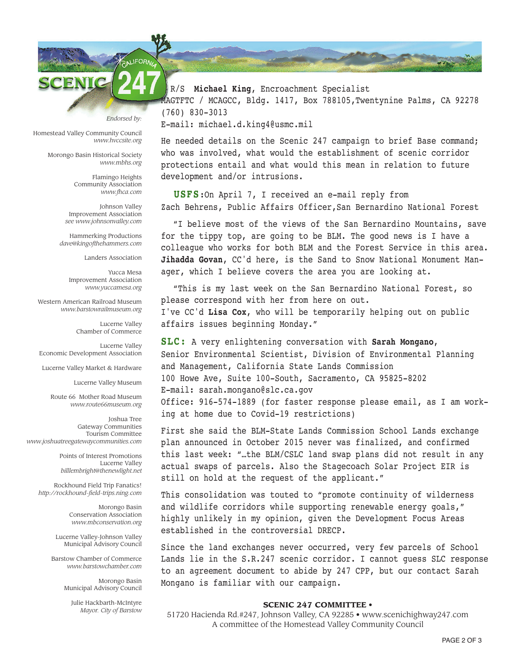

 R/S **Michael King**, Encroachment Specialist MAGTFTC / MCAGCC, Bldg. 1417, Box 788105,Twentynine Palms, CA 92278 (760) 830-3013

E-mail: michael.d.king4@usmc.mil

He needed details on the Scenic 247 campaign to brief Base command; who was involved, what would the establishment of scenic corridor protections entail and what would this mean in relation to future development and/or intrusions.

 **USFS**:On April 7, I received an e-mail reply from Zach Behrens, Public Affairs Officer,San Bernardino National Forest

"I believe most of the views of the San Bernardino Mountains, save for the tippy top, are going to be BLM. The good news is I have a colleague who works for both BLM and the Forest Service in this area. **Jihadda Govan**, CC'd here, is the Sand to Snow National Monument Manager, which I believe covers the area you are looking at.

"This is my last week on the San Bernardino National Forest, so please correspond with her from here on out. I've CC'd **Lisa Cox**, who will be temporarily helping out on public

# affairs issues beginning Monday."

**SLC:** A very enlightening conversation with **Sarah Mongano**, Senior Environmental Scientist, Division of Environmental Planning and Management, California State Lands Commission 100 Howe Ave, Suite 100-South, Sacramento, CA 95825-8202 E-mail: sarah.mongano@slc.ca.gov Office: 916-574-1889 (for faster response please email, as I am work-

ing at home due to Covid-19 restrictions)

First she said the BLM-State Lands Commission School Lands exchange plan announced in October 2015 never was finalized, and confirmed this last week: "…the BLM/CSLC land swap plans did not result in any actual swaps of parcels. Also the Stagecoach Solar Project EIR is still on hold at the request of the applicant."

This consolidation was touted to "promote continuity of wilderness and wildlife corridors while supporting renewable energy goals," highly unlikely in my opinion, given the Development Focus Areas established in the controversial DRECP.

Since the land exchanges never occurred, very few parcels of School Lands lie in the S.R.247 scenic corridor. I cannot guess SLC response to an agreement document to abide by 247 CPP, but our contact Sarah Mongano is familiar with our campaign.

#### **SCENIC 247 COMMITTEE** •

51720 Hacienda Rd.#247, Johnson Valley, CA 92285 • www.scenichighway247.com A committee of the Homestead Valley Community Council

*Endorsed by:*

Homestead Valley Community Council *www.hvccsite.org*

> Morongo Basin Historical Society *www.mbhs.org*

> > Flamingo Heights Community Association *www.fhca.com*

Johnson Valley Improvement Association *see www.johnsonvalley.com*

Hammerking Productions *dave@kingofthehammers.com*

Landers Association

Yucca Mesa Improvement Association *www.yuccamesa.org*

Western American Railroad Museum *www.barstowrailmuseum.org*

> Lucerne Valley Chamber of Commerce

Lucerne Valley Economic Development Association

Lucerne Valley Market & Hardware

Lucerne Valley Museum

Route 66 Mother Road Museum *www.route66museum.org*

Joshua Tree Gateway Communities Tourism Committee *www.joshuatreegatewaycommunities.com*

> Points of Interest Promotions Lucerne Valley *billlembright@thenewlight.net*

Rockhound Field Trip Fanatics!  *http://rockhound-field-trips.ning.com*

> Morongo Basin Conservation Association *www.mbconservation.org*

Lucerne Valley-Johnson Valley Municipal Advisory Council

Barstow Chamber of Commerce *www.barstowchamber.com*

> Morongo Basin Municipal Advisory Council

Julie Hackbarth-McIntyre *Mayor. City of Barstow*